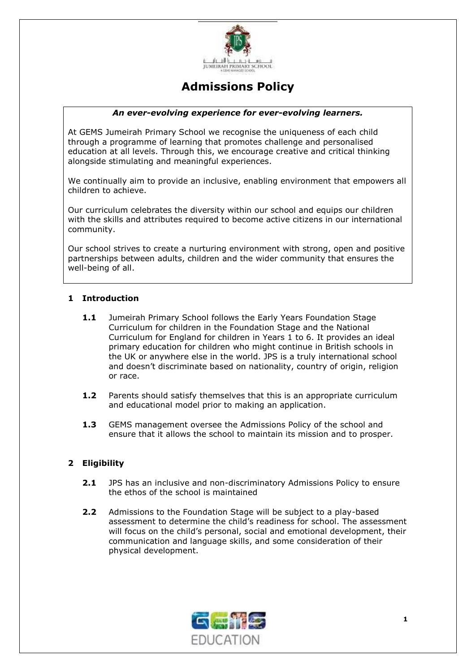

# **Admissions Policy**

#### *An ever-evolving experience for ever-evolving learners.*

At GEMS Jumeirah Primary School we recognise the uniqueness of each child through a programme of learning that promotes challenge and personalised education at all levels. Through this, we encourage creative and critical thinking alongside stimulating and meaningful experiences.

We continually aim to provide an inclusive, enabling environment that empowers all children to achieve.

Our curriculum celebrates the diversity within our school and equips our children with the skills and attributes required to become active citizens in our international community.

Our school strives to create a nurturing environment with strong, open and positive partnerships between adults, children and the wider community that ensures the well-being of all.

# **1 Introduction**

- **1.1** Jumeirah Primary School follows the Early Years Foundation Stage Curriculum for children in the Foundation Stage and the National Curriculum for England for children in Years 1 to 6. It provides an ideal primary education for children who might continue in British schools in the UK or anywhere else in the world. JPS is a truly international school and doesn't discriminate based on nationality, country of origin, religion or race.
- **1.2** Parents should satisfy themselves that this is an appropriate curriculum and educational model prior to making an application.
- **1.3** GEMS management oversee the Admissions Policy of the school and ensure that it allows the school to maintain its mission and to prosper.

# **2 Eligibility**

- **2.1** JPS has an inclusive and non-discriminatory Admissions Policy to ensure the ethos of the school is maintained
- **2.2** Admissions to the Foundation Stage will be subject to a play-based assessment to determine the child's readiness for school. The assessment will focus on the child's personal, social and emotional development, their communication and language skills, and some consideration of their physical development.

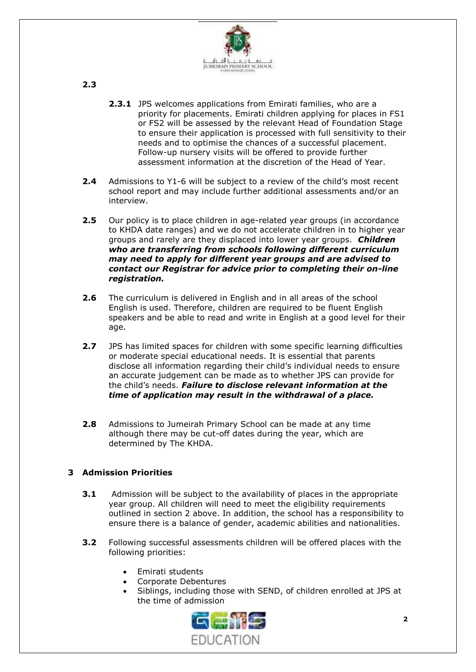

**2.3**

- **2.3.1** JPS welcomes applications from Emirati families, who are a priority for placements. Emirati children applying for places in FS1 or FS2 will be assessed by the relevant Head of Foundation Stage to ensure their application is processed with full sensitivity to their needs and to optimise the chances of a successful placement. Follow-up nursery visits will be offered to provide further assessment information at the discretion of the Head of Year.
- **2.4** Admissions to Y1-6 will be subject to a review of the child's most recent school report and may include further additional assessments and/or an interview.
- **2.5** Our policy is to place children in age-related year groups (in accordance to KHDA date ranges) and we do not accelerate children in to higher year groups and rarely are they displaced into lower year groups. *Children who are transferring from schools following different curriculum may need to apply for different year groups and are advised to contact our Registrar for advice prior to completing their on-line registration.*
- **2.6** The curriculum is delivered in English and in all areas of the school English is used. Therefore, children are required to be fluent English speakers and be able to read and write in English at a good level for their age.
- **2.7** JPS has limited spaces for children with some specific learning difficulties or moderate special educational needs. It is essential that parents disclose all information regarding their child's individual needs to ensure an accurate judgement can be made as to whether JPS can provide for the child's needs. *Failure to disclose relevant information at the time of application may result in the withdrawal of a place.*
- **2.8** Admissions to Jumeirah Primary School can be made at any time although there may be cut-off dates during the year, which are determined by The KHDA.

# **3 Admission Priorities**

- **3.1** Admission will be subject to the availability of places in the appropriate year group. All children will need to meet the eligibility requirements outlined in section 2 above. In addition, the school has a responsibility to ensure there is a balance of gender, academic abilities and nationalities.
- **3.2** Following successful assessments children will be offered places with the following priorities:
	- Emirati students
	- Corporate Debentures
	- Siblings, including those with SEND, of children enrolled at JPS at the time of admission

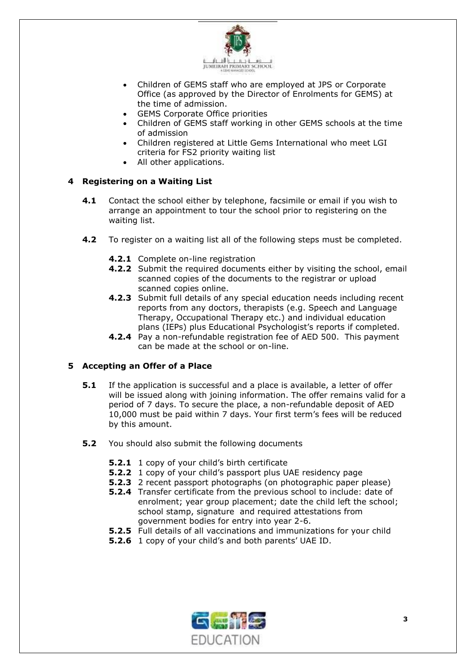

- Children of GEMS staff who are employed at JPS or Corporate Office (as approved by the Director of Enrolments for GEMS) at the time of admission.
- GEMS Corporate Office priorities
- Children of GEMS staff working in other GEMS schools at the time of admission
- Children registered at Little Gems International who meet LGI criteria for FS2 priority waiting list
- All other applications.

# **4 Registering on a Waiting List**

- **4.1** Contact the school either by telephone, facsimile or email if you wish to arrange an appointment to tour the school prior to registering on the waiting list.
- **4.2** To register on a waiting list all of the following steps must be completed.
	- **4.2.1** Complete on-line registration
	- **4.2.2** Submit the required documents either by visiting the school, email scanned copies of the documents to the registrar or upload scanned copies online.
	- **4.2.3** Submit full details of any special education needs including recent reports from any doctors, therapists (e.g. Speech and Language Therapy, Occupational Therapy etc.) and individual education plans (IEPs) plus Educational Psychologist's reports if completed.
	- **4.2.4** Pay a non-refundable registration fee of AED 500. This payment can be made at the school or on-line.

# **5 Accepting an Offer of a Place**

- **5.1** If the application is successful and a place is available, a letter of offer will be issued along with joining information. The offer remains valid for a period of 7 days. To secure the place, a non-refundable deposit of AED 10,000 must be paid within 7 days. Your first term's fees will be reduced by this amount.
- **5.2** You should also submit the following documents
	- **5.2.1** 1 copy of your child's birth certificate
	- **5.2.2** 1 copy of your child's passport plus UAE residency page
	- **5.2.3** 2 recent passport photographs (on photographic paper please)
	- **5.2.4** Transfer certificate from the previous school to include: date of enrolment; year group placement; date the child left the school; school stamp, signature and required attestations from government bodies for entry into year 2-6.
	- **5.2.5** Full details of all vaccinations and immunizations for your child
	- **5.2.6** 1 copy of your child's and both parents' UAE ID.

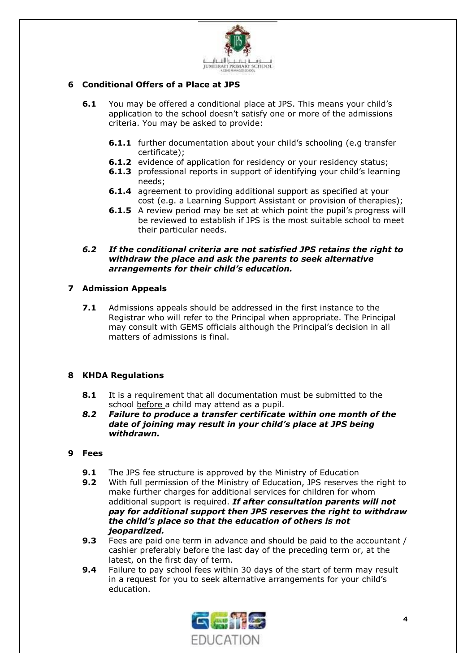

### **6 Conditional Offers of a Place at JPS**

- **6.1** You may be offered a conditional place at JPS. This means your child's application to the school doesn't satisfy one or more of the admissions criteria. You may be asked to provide:
	- **6.1.1** further documentation about your child's schooling (e.g transfer certificate);
	- **6.1.2** evidence of application for residency or your residency status;
	- **6.1.3** professional reports in support of identifying your child's learning needs;
	- **6.1.4** agreement to providing additional support as specified at your cost (e.g. a Learning Support Assistant or provision of therapies);
	- **6.1.5** A review period may be set at which point the pupil's progress will be reviewed to establish if JPS is the most suitable school to meet their particular needs.
- *6.2 If the conditional criteria are not satisfied JPS retains the right to withdraw the place and ask the parents to seek alternative arrangements for their child's education.*

#### **7 Admission Appeals**

**7.1** Admissions appeals should be addressed in the first instance to the Registrar who will refer to the Principal when appropriate. The Principal may consult with GEMS officials although the Principal's decision in all matters of admissions is final.

#### **8 KHDA Regulations**

- **8.1** It is a requirement that all documentation must be submitted to the school before a child may attend as a pupil.
- *8.2 Failure to produce a transfer certificate within one month of the date of joining may result in your child's place at JPS being withdrawn.*

#### **9 Fees**

- **9.1** The JPS fee structure is approved by the Ministry of Education
- **9.2** With full permission of the Ministry of Education, JPS reserves the right to make further charges for additional services for children for whom additional support is required. *If after consultation parents will not pay for additional support then JPS reserves the right to withdraw the child's place so that the education of others is not jeopardized.*
- **9.3** Fees are paid one term in advance and should be paid to the accountant / cashier preferably before the last day of the preceding term or, at the latest, on the first day of term.
- **9.4** Failure to pay school fees within 30 days of the start of term may result in a request for you to seek alternative arrangements for your child's education.